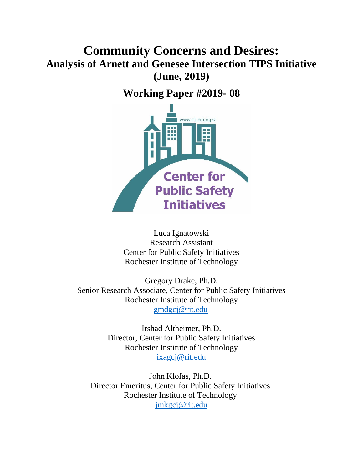# **Community Concerns and Desires: Analysis of Arnett and Genesee Intersection TIPS Initiative (June, 2019)**

**Working Paper #2019- 08**



Luca Ignatowski Research Assistant Center for Public Safety Initiatives Rochester Institute of Technology

Gregory Drake, Ph.D. Senior Research Associate, Center for Public Safety Initiatives Rochester Institute of Technology [gmdgcj@rit.edu](mailto:gmd3165@rit.edu)

> Irshad Altheimer, Ph.D. Director, Center for Public Safety Initiatives Rochester Institute of Technology [ixagcj@rit.edu](mailto:ixagcj@rit.edu)

John Klofas, Ph.D. Director Emeritus, Center for Public Safety Initiatives Rochester Institute of Technology [jmkgcj@rit.edu](mailto:jmkgcj@rit.edu)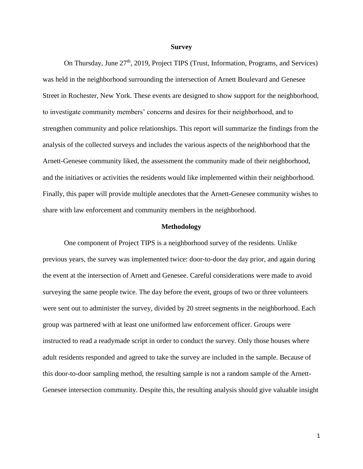#### **Survey**

On Thursday, June  $27<sup>th</sup>$ , 2019, Project TIPS (Trust, Information, Programs, and Services) was held in the neighborhood surrounding the intersection of Arnett Boulevard and Genesee Street in Rochester, New York. These events are designed to show support for the neighborhood, to investigate community members' concerns and desires for their neighborhood, and to strengthen community and police relationships. This report will summarize the findings from the analysis of the collected surveys and includes the various aspects of the neighborhood that the Arnett-Genesee community liked, the assessment the community made of their neighborhood, and the initiatives or activities the residents would like implemented within their neighborhood. Finally, this paper will provide multiple anecdotes that the Arnett-Genesee community wishes to share with law enforcement and community members in the neighborhood.

#### **Methodology**

One component of Project TIPS is a neighborhood survey of the residents. Unlike previous years, the survey was implemented twice: door-to-door the day prior, and again during the event at the intersection of Arnett and Genesee. Careful considerations were made to avoid surveying the same people twice. The day before the event, groups of two or three volunteers were sent out to administer the survey, divided by 20 street segments in the neighborhood. Each group was partnered with at least one uniformed law enforcement officer. Groups were instructed to read a readymade script in order to conduct the survey. Only those houses where adult residents responded and agreed to take the survey are included in the sample. Because of this door-to-door sampling method, the resulting sample is not a random sample of the Arnett-Genesee intersection community. Despite this, the resulting analysis should give valuable insight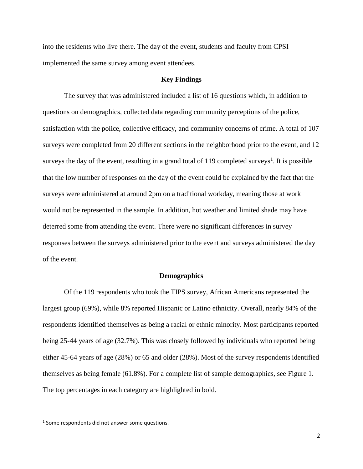into the residents who live there. The day of the event, students and faculty from CPSI implemented the same survey among event attendees.

#### **Key Findings**

The survey that was administered included a list of 16 questions which, in addition to questions on demographics, collected data regarding community perceptions of the police, satisfaction with the police, collective efficacy, and community concerns of crime. A total of 107 surveys were completed from 20 different sections in the neighborhood prior to the event, and 12 surveys the day of the event, resulting in a grand total of 119 completed surveys<sup>1</sup>. It is possible that the low number of responses on the day of the event could be explained by the fact that the surveys were administered at around 2pm on a traditional workday, meaning those at work would not be represented in the sample. In addition, hot weather and limited shade may have deterred some from attending the event. There were no significant differences in survey responses between the surveys administered prior to the event and surveys administered the day of the event.

#### **Demographics**

Of the 119 respondents who took the TIPS survey, African Americans represented the largest group (69%), while 8% reported Hispanic or Latino ethnicity. Overall, nearly 84% of the respondents identified themselves as being a racial or ethnic minority. Most participants reported being 25-44 years of age (32.7%). This was closely followed by individuals who reported being either 45-64 years of age (28%) or 65 and older (28%). Most of the survey respondents identified themselves as being female (61.8%). For a complete list of sample demographics, see Figure 1. The top percentages in each category are highlighted in bold.

 $\overline{\phantom{a}}$ 

 $<sup>1</sup>$  Some respondents did not answer some questions.</sup>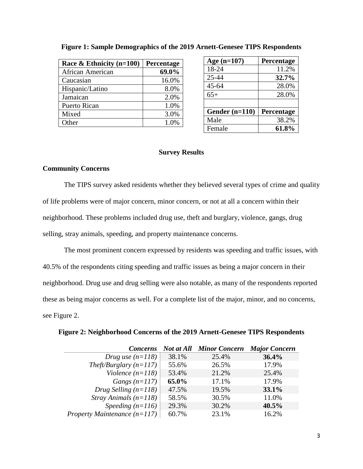| Race & Ethnicity $(n=100)$ | Percentage |
|----------------------------|------------|
| African American           | 69.0%      |
| Caucasian                  | 16.0%      |
| Hispanic/Latino            | 8.0%       |
| Jamaican                   | 2.0%       |
| <b>Puerto Rican</b>        | 1.0%       |
| Mixed                      | 3.0%       |
| Other                      | 1.0%       |

# **Figure 1: Sample Demographics of the 2019 Arnett-Genesee TIPS Respondents**

| Age $(n=107)$    | Percentage |
|------------------|------------|
| 18-24            | 11.2%      |
| 25-44            | 32.7%      |
| $45 - 64$        | 28.0%      |
| $65+$            | 28.0%      |
|                  |            |
| Gender $(n=110)$ | Percentage |
| Male             | 38.2%      |
| Female           | 61.8%      |

## **Survey Results**

## **Community Concerns**

The TIPS survey asked residents whether they believed several types of crime and quality of life problems were of major concern, minor concern, or not at all a concern within their neighborhood. These problems included drug use, theft and burglary, violence, gangs, drug selling, stray animals, speeding, and property maintenance concerns.

The most prominent concern expressed by residents was speeding and traffic issues, with 40.5% of the respondents citing speeding and traffic issues as being a major concern in their neighborhood. Drug use and drug selling were also notable, as many of the respondents reported these as being major concerns as well. For a complete list of the major, minor, and no concerns, see Figure 2.

| <b>Concerns</b>                           |       | <b>Not at All Minor Concern</b> | <b>Major Concern</b> |
|-------------------------------------------|-------|---------------------------------|----------------------|
| Drug use $(n=118)$                        | 38.1% | 25.4%                           | 36.4%                |
| Theft/Burglary $(n=117)$                  | 55.6% | 26.5%                           | 17.9%                |
| Violence $(n=118)$                        | 53.4% | 21.2%                           | 25.4%                |
| Gangs $(n=117)$                           | 65.0% | 17.1%                           | 17.9%                |
| Drug Selling $(n=118)$                    | 47.5% | 19.5%                           | 33.1%                |
| <i>Stray Animals <math>(n=118)</math></i> | 58.5% | 30.5%                           | 11.0%                |
| Speeding $(n=116)$                        | 29.3% | 30.2%                           | $40.5\%$             |
| Property Maintenance $(n=117)$            | 60.7% | 23.1%                           | 16.2%                |

## **Figure 2: Neighborhood Concerns of the 2019 Arnett-Genesee TIPS Respondents**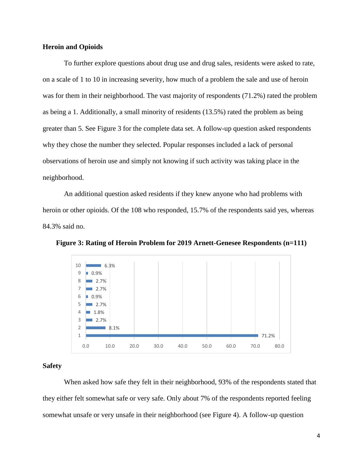## **Heroin and Opioids**

To further explore questions about drug use and drug sales, residents were asked to rate, on a scale of 1 to 10 in increasing severity, how much of a problem the sale and use of heroin was for them in their neighborhood. The vast majority of respondents (71.2%) rated the problem as being a 1. Additionally, a small minority of residents (13.5%) rated the problem as being greater than 5. See Figure 3 for the complete data set. A follow-up question asked respondents why they chose the number they selected. Popular responses included a lack of personal observations of heroin use and simply not knowing if such activity was taking place in the neighborhood.

An additional question asked residents if they knew anyone who had problems with heroin or other opioids. Of the 108 who responded, 15.7% of the respondents said yes, whereas 84.3% said no.



**Figure 3: Rating of Heroin Problem for 2019 Arnett-Genesee Respondents (n=111)**

# **Safety**

When asked how safe they felt in their neighborhood, 93% of the respondents stated that they either felt somewhat safe or very safe. Only about 7% of the respondents reported feeling somewhat unsafe or very unsafe in their neighborhood (see Figure 4). A follow-up question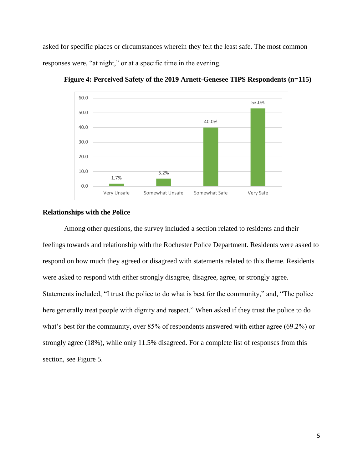asked for specific places or circumstances wherein they felt the least safe. The most common responses were, "at night," or at a specific time in the evening.



**Figure 4: Perceived Safety of the 2019 Arnett-Genesee TIPS Respondents (n=115)**

# **Relationships with the Police**

Among other questions, the survey included a section related to residents and their feelings towards and relationship with the Rochester Police Department. Residents were asked to respond on how much they agreed or disagreed with statements related to this theme. Residents were asked to respond with either strongly disagree, disagree, agree, or strongly agree. Statements included, "I trust the police to do what is best for the community," and, "The police here generally treat people with dignity and respect." When asked if they trust the police to do what's best for the community, over 85% of respondents answered with either agree (69.2%) or strongly agree (18%), while only 11.5% disagreed. For a complete list of responses from this section, see Figure 5.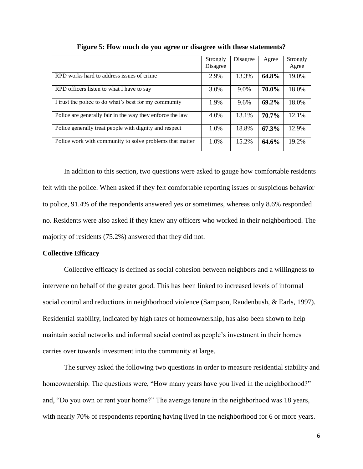|                                                           | Strongly<br>Disagree | Disagree | Agree | Strongly<br>Agree |
|-----------------------------------------------------------|----------------------|----------|-------|-------------------|
| RPD works hard to address issues of crime                 | 2.9%                 | 13.3%    | 64.8% | 19.0%             |
| RPD officers listen to what I have to say                 | 3.0%                 | 9.0%     | 70.0% | 18.0%             |
| I trust the police to do what's best for my community     | 1.9%                 | 9.6%     | 69.2% | 18.0%             |
| Police are generally fair in the way they enforce the law | 4.0%                 | 13.1%    | 70.7% | 12.1%             |
| Police generally treat people with dignity and respect    | 1.0%                 | 18.8%    | 67.3% | 12.9%             |
| Police work with community to solve problems that matter  | 1.0%                 | 15.2%    | 64.6% | 19.2%             |

**Figure 5: How much do you agree or disagree with these statements?**

In addition to this section, two questions were asked to gauge how comfortable residents felt with the police. When asked if they felt comfortable reporting issues or suspicious behavior to police, 91.4% of the respondents answered yes or sometimes, whereas only 8.6% responded no. Residents were also asked if they knew any officers who worked in their neighborhood. The majority of residents (75.2%) answered that they did not.

#### **Collective Efficacy**

Collective efficacy is defined as social cohesion between neighbors and a willingness to intervene on behalf of the greater good. This has been linked to increased levels of informal social control and reductions in neighborhood violence (Sampson, Raudenbush, & Earls, 1997). Residential stability, indicated by high rates of homeownership, has also been shown to help maintain social networks and informal social control as people's investment in their homes carries over towards investment into the community at large.

The survey asked the following two questions in order to measure residential stability and homeownership. The questions were, "How many years have you lived in the neighborhood?" and, "Do you own or rent your home?" The average tenure in the neighborhood was 18 years, with nearly 70% of respondents reporting having lived in the neighborhood for 6 or more years.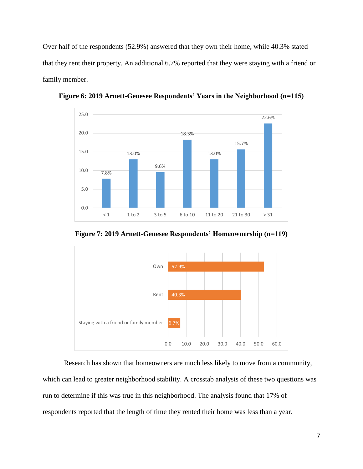Over half of the respondents (52.9%) answered that they own their home, while 40.3% stated that they rent their property. An additional 6.7% reported that they were staying with a friend or family member.



**Figure 6: 2019 Arnett-Genesee Respondents' Years in the Neighborhood (n=115)**





Research has shown that homeowners are much less likely to move from a community, which can lead to greater neighborhood stability. A crosstab analysis of these two questions was run to determine if this was true in this neighborhood. The analysis found that 17% of respondents reported that the length of time they rented their home was less than a year.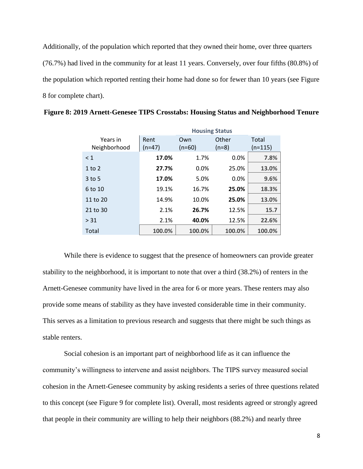Additionally, of the population which reported that they owned their home, over three quarters (76.7%) had lived in the community for at least 11 years. Conversely, over four fifths (80.8%) of the population which reported renting their home had done so for fewer than 10 years (see Figure 8 for complete chart).

|              | <b>Housing Status</b> |          |         |           |
|--------------|-----------------------|----------|---------|-----------|
| Years in     | Rent                  | Own      | Other   |           |
| Neighborhood | $(n=47)$              | $(n=60)$ | $(n=8)$ | $(n=115)$ |
| $\leq 1$     | 17.0%                 | 1.7%     | 0.0%    | 7.8%      |
| $1$ to $2$   | 27.7%                 | $0.0\%$  | 25.0%   | 13.0%     |
| $3$ to 5     | 17.0%                 | 5.0%     | 0.0%    | 9.6%      |
| 6 to 10      | 19.1%                 | 16.7%    | 25.0%   | 18.3%     |
| 11 to 20     | 14.9%                 | 10.0%    | 25.0%   | 13.0%     |
| 21 to 30     | 2.1%                  | 26.7%    | 12.5%   | 15.7      |
| > 31         | 2.1%                  | 40.0%    | 12.5%   | 22.6%     |
| Total        | 100.0%                | 100.0%   | 100.0%  | 100.0%    |
|              |                       |          |         |           |

**Figure 8: 2019 Arnett-Genesee TIPS Crosstabs: Housing Status and Neighborhood Tenure**

While there is evidence to suggest that the presence of homeowners can provide greater stability to the neighborhood, it is important to note that over a third (38.2%) of renters in the Arnett-Genesee community have lived in the area for 6 or more years. These renters may also provide some means of stability as they have invested considerable time in their community. This serves as a limitation to previous research and suggests that there might be such things as stable renters.

Social cohesion is an important part of neighborhood life as it can influence the community's willingness to intervene and assist neighbors. The TIPS survey measured social cohesion in the Arnett-Genesee community by asking residents a series of three questions related to this concept (see Figure 9 for complete list). Overall, most residents agreed or strongly agreed that people in their community are willing to help their neighbors (88.2%) and nearly three